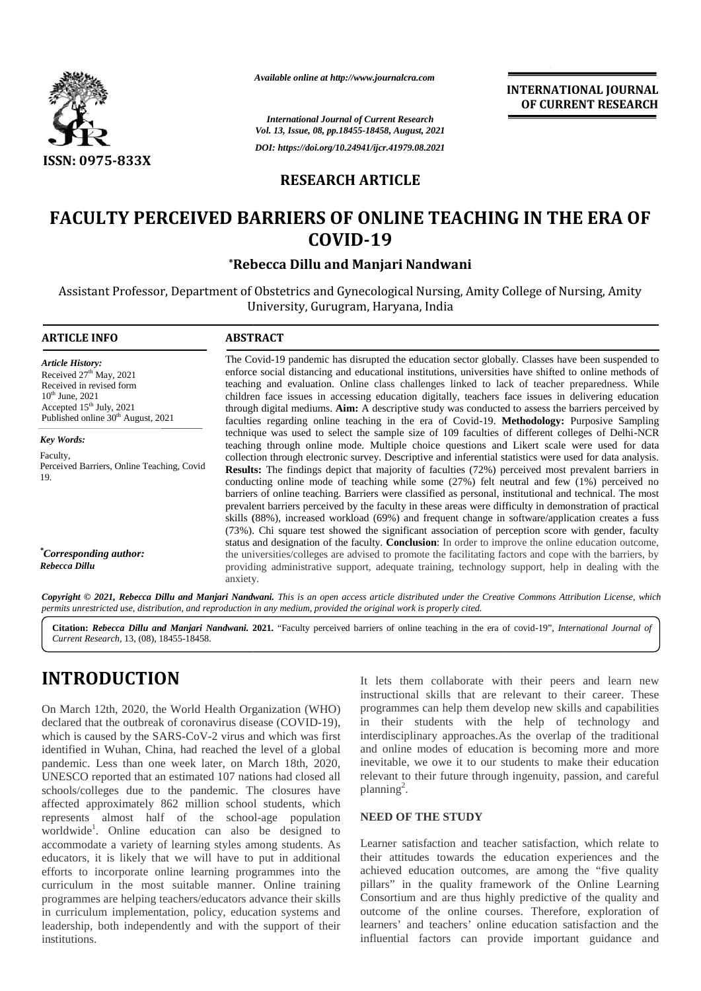

*Available online at http://www.journalcra.com*

**INTERNATIONAL JOURNAL OF CURRENT RESEARCH RESEARCH**

## **RESEARCH ARTICLE**

# **FACULTY PERCEIVED BARRIERS OF ONLINE TEACHING IN THE ERA OF IN COVID-19**

## **\*Rebecca Dillu and Manjari Nandwani \*Dillu and**

|                                                                                                                                                                                                                                                                                                                                                                                                                                                                                                                                               | Available online at http://www.journalcra.com                                                                                                                                                                                                                                                                                                                                                                                                                                                                                                                                                                              |                                                                                                                                                                                                                                                                                                                                                                                                                                                                                                            | <b>INTERNATIONAL JOURNAL</b>                                                                                                                                                                                                                                                                                                                                                                                                                          |  |  |
|-----------------------------------------------------------------------------------------------------------------------------------------------------------------------------------------------------------------------------------------------------------------------------------------------------------------------------------------------------------------------------------------------------------------------------------------------------------------------------------------------------------------------------------------------|----------------------------------------------------------------------------------------------------------------------------------------------------------------------------------------------------------------------------------------------------------------------------------------------------------------------------------------------------------------------------------------------------------------------------------------------------------------------------------------------------------------------------------------------------------------------------------------------------------------------------|------------------------------------------------------------------------------------------------------------------------------------------------------------------------------------------------------------------------------------------------------------------------------------------------------------------------------------------------------------------------------------------------------------------------------------------------------------------------------------------------------------|-------------------------------------------------------------------------------------------------------------------------------------------------------------------------------------------------------------------------------------------------------------------------------------------------------------------------------------------------------------------------------------------------------------------------------------------------------|--|--|
|                                                                                                                                                                                                                                                                                                                                                                                                                                                                                                                                               | <b>International Journal of Current Research</b>                                                                                                                                                                                                                                                                                                                                                                                                                                                                                                                                                                           | OF CURRENT RESEARCH                                                                                                                                                                                                                                                                                                                                                                                                                                                                                        |                                                                                                                                                                                                                                                                                                                                                                                                                                                       |  |  |
|                                                                                                                                                                                                                                                                                                                                                                                                                                                                                                                                               | Vol. 13, Issue, 08, pp.18455-18458, August, 2021<br>DOI: https://doi.org/10.24941/ijcr.41979.08.2021                                                                                                                                                                                                                                                                                                                                                                                                                                                                                                                       |                                                                                                                                                                                                                                                                                                                                                                                                                                                                                                            |                                                                                                                                                                                                                                                                                                                                                                                                                                                       |  |  |
| <b>ISSN: 0975-833X</b>                                                                                                                                                                                                                                                                                                                                                                                                                                                                                                                        |                                                                                                                                                                                                                                                                                                                                                                                                                                                                                                                                                                                                                            |                                                                                                                                                                                                                                                                                                                                                                                                                                                                                                            |                                                                                                                                                                                                                                                                                                                                                                                                                                                       |  |  |
|                                                                                                                                                                                                                                                                                                                                                                                                                                                                                                                                               | <b>RESEARCH ARTICLE</b>                                                                                                                                                                                                                                                                                                                                                                                                                                                                                                                                                                                                    |                                                                                                                                                                                                                                                                                                                                                                                                                                                                                                            |                                                                                                                                                                                                                                                                                                                                                                                                                                                       |  |  |
|                                                                                                                                                                                                                                                                                                                                                                                                                                                                                                                                               |                                                                                                                                                                                                                                                                                                                                                                                                                                                                                                                                                                                                                            |                                                                                                                                                                                                                                                                                                                                                                                                                                                                                                            | <b>FACULTY PERCEIVED BARRIERS OF ONLINE TEACHING IN THE ERA OF</b>                                                                                                                                                                                                                                                                                                                                                                                    |  |  |
|                                                                                                                                                                                                                                                                                                                                                                                                                                                                                                                                               | COVID-19                                                                                                                                                                                                                                                                                                                                                                                                                                                                                                                                                                                                                   |                                                                                                                                                                                                                                                                                                                                                                                                                                                                                                            |                                                                                                                                                                                                                                                                                                                                                                                                                                                       |  |  |
|                                                                                                                                                                                                                                                                                                                                                                                                                                                                                                                                               |                                                                                                                                                                                                                                                                                                                                                                                                                                                                                                                                                                                                                            | *Rebecca Dillu and Manjari Nandwani                                                                                                                                                                                                                                                                                                                                                                                                                                                                        |                                                                                                                                                                                                                                                                                                                                                                                                                                                       |  |  |
|                                                                                                                                                                                                                                                                                                                                                                                                                                                                                                                                               |                                                                                                                                                                                                                                                                                                                                                                                                                                                                                                                                                                                                                            | University, Gurugram, Haryana, India                                                                                                                                                                                                                                                                                                                                                                                                                                                                       | Assistant Professor, Department of Obstetrics and Gynecological Nursing, Amity College of Nursing, Amity                                                                                                                                                                                                                                                                                                                                              |  |  |
| <b>ARTICLE INFO</b>                                                                                                                                                                                                                                                                                                                                                                                                                                                                                                                           | <b>ABSTRACT</b>                                                                                                                                                                                                                                                                                                                                                                                                                                                                                                                                                                                                            |                                                                                                                                                                                                                                                                                                                                                                                                                                                                                                            |                                                                                                                                                                                                                                                                                                                                                                                                                                                       |  |  |
| <b>Article History:</b><br>Received 27 <sup>th</sup> May, 2021<br>Received in revised form<br>$10^{th}$ June, 2021<br>Accepted 15th July, 2021<br>Published online 30 <sup>th</sup> August, 2021                                                                                                                                                                                                                                                                                                                                              | The Covid-19 pandemic has disrupted the education sector globally. Classes have been suspended to<br>enforce social distancing and educational institutions, universities have shifted to online methods of<br>teaching and evaluation. Online class challenges linked to lack of teacher preparedness. While<br>children face issues in accessing education digitally, teachers face issues in delivering education<br>through digital mediums. Aim: A descriptive study was conducted to assess the barriers perceived by<br>faculties regarding online teaching in the era of Covid-19. Methodology: Purposive Sampling |                                                                                                                                                                                                                                                                                                                                                                                                                                                                                                            |                                                                                                                                                                                                                                                                                                                                                                                                                                                       |  |  |
| Key Words:                                                                                                                                                                                                                                                                                                                                                                                                                                                                                                                                    |                                                                                                                                                                                                                                                                                                                                                                                                                                                                                                                                                                                                                            |                                                                                                                                                                                                                                                                                                                                                                                                                                                                                                            | technique was used to select the sample size of 109 faculties of different colleges of Delhi-NCR<br>teaching through online mode. Multiple choice questions and Likert scale were used for data                                                                                                                                                                                                                                                       |  |  |
| Faculty,<br>Perceived Barriers, Online Teaching, Covid<br>19.                                                                                                                                                                                                                                                                                                                                                                                                                                                                                 | collection through electronic survey. Descriptive and inferential statistics were used for data analysis.<br><b>Results:</b> The findings depict that majority of faculties (72%) perceived most prevalent barriers in<br>conducting online mode of teaching while some (27%) felt neutral and few (1%) perceived no<br>barriers of online teaching. Barriers were classified as personal, institutional and technical. The most<br>prevalent barriers perceived by the faculty in these areas were difficulty in demonstration of practical                                                                               |                                                                                                                                                                                                                                                                                                                                                                                                                                                                                                            |                                                                                                                                                                                                                                                                                                                                                                                                                                                       |  |  |
| <i>*Corresponding author:</i><br>Rebecca Dillu                                                                                                                                                                                                                                                                                                                                                                                                                                                                                                | skills (88%), increased workload (69%) and frequent change in software/application creates a fuss<br>(73%). Chi square test showed the significant association of perception score with gender, faculty<br>status and designation of the faculty. Conclusion: In order to improve the online education outcome,<br>the universities/colleges are advised to promote the facilitating factors and cope with the barriers, by<br>providing administrative support, adequate training, technology support, help in dealing with the<br>anxiety.                                                                               |                                                                                                                                                                                                                                                                                                                                                                                                                                                                                                            |                                                                                                                                                                                                                                                                                                                                                                                                                                                       |  |  |
| permits unrestricted use, distribution, and reproduction in any medium, provided the original work is properly cited.                                                                                                                                                                                                                                                                                                                                                                                                                         |                                                                                                                                                                                                                                                                                                                                                                                                                                                                                                                                                                                                                            |                                                                                                                                                                                                                                                                                                                                                                                                                                                                                                            | Copyright © 2021, Rebecca Dillu and Manjari Nandwani. This is an open access article distributed under the Creative Commons Attribution License, which                                                                                                                                                                                                                                                                                                |  |  |
| Current Research, 13, (08), 18455-18458.                                                                                                                                                                                                                                                                                                                                                                                                                                                                                                      |                                                                                                                                                                                                                                                                                                                                                                                                                                                                                                                                                                                                                            |                                                                                                                                                                                                                                                                                                                                                                                                                                                                                                            | Citation: Rebecca Dillu and Manjari Nandwani. 2021. "Faculty perceived barriers of online teaching in the era of covid-19", International Journal of                                                                                                                                                                                                                                                                                                  |  |  |
| <b>INTRODUCTION</b>                                                                                                                                                                                                                                                                                                                                                                                                                                                                                                                           |                                                                                                                                                                                                                                                                                                                                                                                                                                                                                                                                                                                                                            |                                                                                                                                                                                                                                                                                                                                                                                                                                                                                                            | It lets them collaborate with their peers and learn new                                                                                                                                                                                                                                                                                                                                                                                               |  |  |
| On March 12th, 2020, the World Health Organization (WHO)<br>declared that the outbreak of coronavirus disease (COVID-19),<br>which is caused by the SARS-CoV-2 virus and which was first<br>identified in Wuhan, China, had reached the level of a global<br>pandemic. Less than one week later, on March 18th, 2020,<br>UNESCO reported that an estimated 107 nations had closed all<br>schools/colleges due to the pandemic. The closures have<br>affected approximately 862 million school students, which                                 |                                                                                                                                                                                                                                                                                                                                                                                                                                                                                                                                                                                                                            | planning <sup>2</sup> .                                                                                                                                                                                                                                                                                                                                                                                                                                                                                    | instructional skills that are relevant to their career. These<br>programmes can help them develop new skills and capabilities<br>in their students with the help of technology and<br>interdisciplinary approaches. As the overlap of the traditional<br>and online modes of education is becoming more and more<br>inevitable, we owe it to our students to make their education<br>relevant to their future through ingenuity, passion, and careful |  |  |
| represents almost half of the school-age population                                                                                                                                                                                                                                                                                                                                                                                                                                                                                           |                                                                                                                                                                                                                                                                                                                                                                                                                                                                                                                                                                                                                            | <b>NEED OF THE STUDY</b>                                                                                                                                                                                                                                                                                                                                                                                                                                                                                   |                                                                                                                                                                                                                                                                                                                                                                                                                                                       |  |  |
| worldwide <sup>1</sup> . Online education can also be designed to<br>accommodate a variety of learning styles among students. As<br>educators, it is likely that we will have to put in additional<br>efforts to incorporate online learning programmes into the<br>curriculum in the most suitable manner. Online training<br>programmes are helping teachers/educators advance their skills<br>in curriculum implementation, policy, education systems and<br>leadership, both independently and with the support of their<br>institutions. |                                                                                                                                                                                                                                                                                                                                                                                                                                                                                                                                                                                                                            | Learner satisfaction and teacher satisfaction, which relate to<br>their attitudes towards the education experiences and the<br>achieved education outcomes, are among the "five quality<br>pillars" in the quality framework of the Online Learning<br>Consortium and are thus highly predictive of the quality and<br>outcome of the online courses. Therefore, exploration of<br>learners' and teachers' online education satisfaction and the<br>influential factors can provide important guidance and |                                                                                                                                                                                                                                                                                                                                                                                                                                                       |  |  |

# **INTRODUCTION INTRODUCTION**

#### **NEED OF THE STUDY**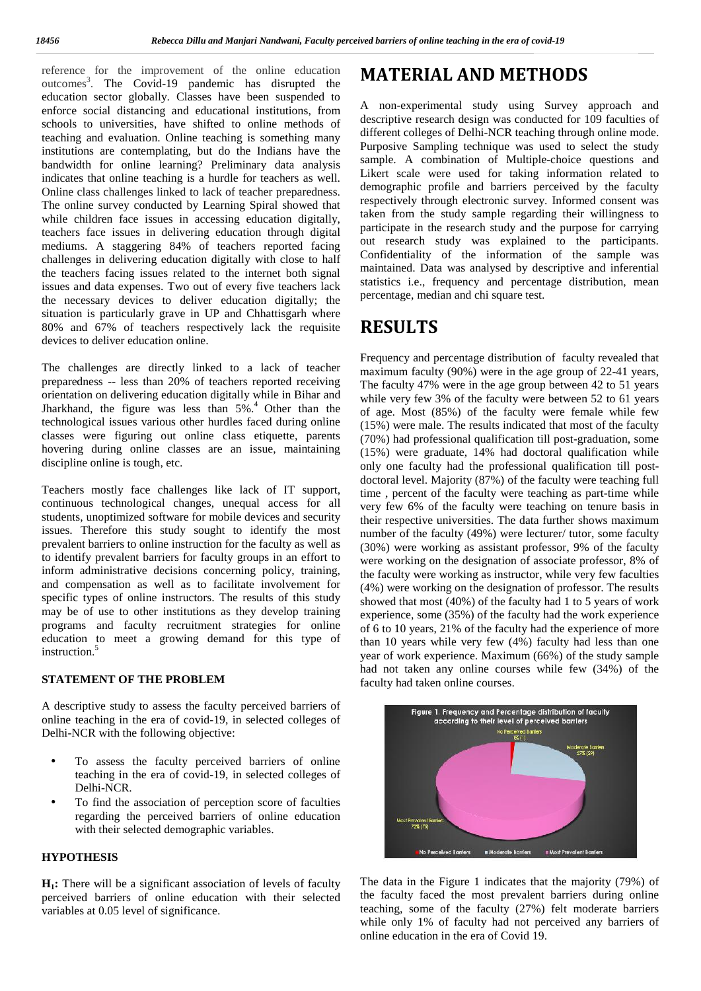reference for the improvement of the online education  $\mathbf{M}$ outcomes<sup>3</sup>. The Covid-19 pandemic has disrupted the education sector globally. Classes have been suspended to enforce social distancing and educational institutions, from schools to universities, have shifted to online methods of teaching and evaluation. Online teaching is something many institutions are contemplating, but do the Indians have the bandwidth for online learning? Preliminary data analysis indicates that online teaching is a hurdle for teachers as well. Online class challenges linked to lack of teacher preparedness. The online survey conducted by Learning Spiral showed that while children face issues in accessing education digitally, teachers face issues in delivering education through digital mediums. A staggering 84% of teachers reported facing challenges in delivering education digitally with close to half the teachers facing issues related to the internet both signal issues and data expenses. Two out of every five teachers lack the necessary devices to deliver education digitally; the situation is particularly grave in UP and Chhattisgarh where 80% and 67% of teachers respectively lack the requisite devices to deliver education online.

The challenges are directly linked to a lack of teacher preparedness -- less than 20% of teachers reported receiving orientation on delivering education digitally while in Bihar and Jharkhand, the figure was less than 5%.<sup>4</sup> Other than the technological issues various other hurdles faced during online classes were figuring out online class etiquette, parents hovering during online classes are an issue, maintaining discipline online is tough, etc.

Teachers mostly face challenges like lack of IT support, continuous technological changes, unequal access for all students, unoptimized software for mobile devices and security issues. Therefore this study sought to identify the most prevalent barriers to online instruction for the faculty as well as to identify prevalent barriers for faculty groups in an effort to inform administrative decisions concerning policy, training, and compensation as well as to facilitate involvement for specific types of online instructors. The results of this study may be of use to other institutions as they develop training programs and faculty recruitment strategies for online education to meet a growing demand for this type of instruction.<sup>5</sup>

## **STATEMENT OF THE PROBLEM**

A descriptive study to assess the faculty perceived barriers of online teaching in the era of covid-19, in selected colleges of Delhi-NCR with the following objective:

- To assess the faculty perceived barriers of online teaching in the era of covid-19, in selected colleges of Delhi-NCR.
- To find the association of perception score of faculties regarding the perceived barriers of online education with their selected demographic variables.

## **HYPOTHESIS**

**H1:** There will be a significant association of levels of faculty perceived barriers of online education with their selected variables at 0.05 level of significance.

# **MATERIAL AND METHODS**

A non-experimental study using Survey approach and descriptive research design was conducted for 109 faculties of different colleges of Delhi-NCR teaching through online mode. Purposive Sampling technique was used to select the study sample. A combination of Multiple-choice questions and Likert scale were used for taking information related to demographic profile and barriers perceived by the faculty respectively through electronic survey. Informed consent was taken from the study sample regarding their willingness to participate in the research study and the purpose for carrying out research study was explained to the participants. Confidentiality of the information of the sample was maintained. Data was analysed by descriptive and inferential statistics i.e., frequency and percentage distribution, mean percentage, median and chi square test.

## **RESULTS**

Frequency and percentage distribution of faculty revealed that maximum faculty (90%) were in the age group of 22-41 years, The faculty 47% were in the age group between 42 to 51 years while very few 3% of the faculty were between 52 to 61 years of age. Most (85%) of the faculty were female while few (15%) were male. The results indicated that most of the faculty (70%) had professional qualification till post-graduation, some (15%) were graduate, 14% had doctoral qualification while only one faculty had the professional qualification till post doctoral level. Majority (87%) of the faculty were teaching full time , percent of the faculty were teaching as part-time while very few 6% of the faculty were teaching on tenure basis in their respective universities. The data further shows maximum number of the faculty (49%) were lecturer/ tutor, some faculty (30%) were working as assistant professor, 9% of the faculty were working on the designation of associate professor, 8% of the faculty were working as instructor, while very few faculties (4%) were working on the designation of professor. The results showed that most (40%) of the faculty had 1 to 5 years of work experience, some (35%) of the faculty had the work experience of 6 to 10 years, 21% of the faculty had the experience of more than 10 years while very few (4%) faculty had less than one year of work experience. Maximum (66%) of the study sample had not taken any online courses while few (34%) of the faculty had taken online courses.



The data in the Figure 1 indicates that the majority (79%) of the faculty faced the most prevalent barriers during online teaching, some of the faculty (27%) felt moderate barriers while only 1% of faculty had not perceived any barriers of online education in the era of Covid 19.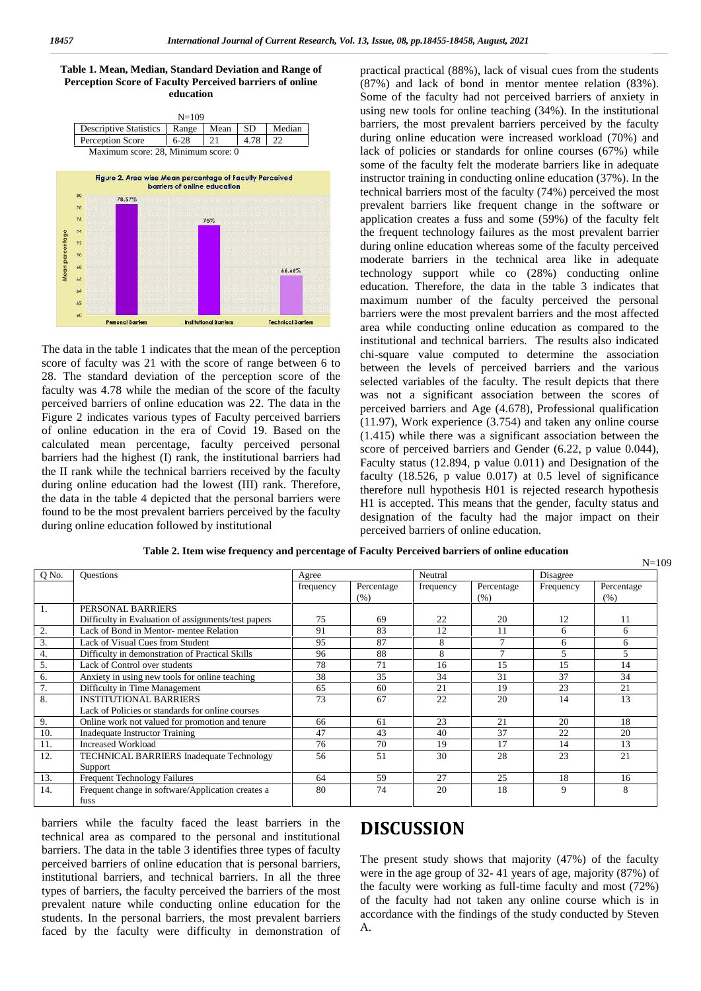Table 1. Mean, Median, Standard Deviation and Range of **Perception Score of Faculty Perceived barriers of online education**

|                               |    |                                                          | $N = 109$                                                          |      |      |                                                                               |
|-------------------------------|----|----------------------------------------------------------|--------------------------------------------------------------------|------|------|-------------------------------------------------------------------------------|
| <b>Descriptive Statistics</b> |    |                                                          | Range                                                              | Mean | SD   | Median                                                                        |
|                               |    | Perception Score                                         | $6 - 28$                                                           | 21   | 4.78 | 22                                                                            |
|                               |    | Maximum score: 28, Minimum score: 0                      |                                                                    |      |      |                                                                               |
|                               |    |                                                          |                                                                    |      |      |                                                                               |
|                               |    | Figure 2. Area wise Mean percentage of Faculty Perceived |                                                                    |      |      |                                                                               |
|                               |    |                                                          | barriers of online education                                       |      |      |                                                                               |
|                               | 80 | 78.57%                                                   | <b>CONTRACTORS OF REAL PROPERTY IN A REPORT OF A REAL PROPERTY</b> |      |      |                                                                               |
|                               | 78 |                                                          |                                                                    |      |      | <b>CONTRACTOR</b> CONTRACTOR                                                  |
|                               | 74 |                                                          |                                                                    | 75%  |      | a providence and a providence of the control of the control of the control of |
|                               | 74 |                                                          |                                                                    |      |      |                                                                               |
|                               | 72 |                                                          |                                                                    |      |      |                                                                               |
|                               | 70 |                                                          |                                                                    |      |      |                                                                               |
|                               | 68 |                                                          |                                                                    |      |      | 66.66%                                                                        |
|                               | 68 |                                                          |                                                                    |      |      |                                                                               |
|                               | 64 |                                                          |                                                                    |      |      |                                                                               |
|                               | 62 |                                                          |                                                                    |      |      |                                                                               |
|                               |    |                                                          |                                                                    |      |      |                                                                               |

**Institutional Barriers** 

**Technical Barriers** 

The data in the table 1 indicates that the mean of the perception score of faculty was 21 with the score of range between 6 to 28. The standard deviation of the perception score of the faculty was 4.78 while the median of the score of the faculty perceived barriers of online education was 22. The data in the Figure 2 indicates various types of Faculty perceived barriers of online education in the era of Covid 19. Based on the calculated mean percentage, faculty perceived personal barriers had the highest (I) rank, the institutional barriers had the II rank while the technical barriers received by the faculty during online education had the lowest (III) rank. Therefore, the data in the table 4 depicted that the personal barriers were found to be the most prevalent barriers perceived by the faculty during online education followed by institutional

Personal Barriers

practical practical (88%), lack of visual cues from the students (87%) and lack of bond in mentor mentee relation (83%). Some of the faculty had not perceived barriers of anxiety in using new tools for online teaching (34%). In the institutional barriers, the most prevalent barriers perceived by the faculty during online education were increased workload (70%) and lack of policies or standards for online courses (67%) while some of the faculty felt the moderate barriers like in adequate instructor training in conducting online education (37%). In the technical barriers most of the faculty (74%) perceived the most prevalent barriers like frequent change in the software or application creates a fuss and some (59%) of the faculty felt the frequent technology failures as the most prevalent barrier during online education whereas some of the faculty perceived moderate barriers in the technical area like in adequate technology support while co (28%) conducting online education. Therefore, the data in the table 3 indicates that maximum number of the faculty perceived the personal barriers were the most prevalent barriers and the most affected area while conducting online education as compared to the institutional and technical barriers. The results also indicated chi-square value computed to determine the association between the levels of perceived barriers and the various selected variables of the faculty. The result depicts that there was not a significant association between the scores of perceived barriers and Age (4.678), Professional qualification (11.97), Work experience (3.754) and taken any online course (1.415) while there was a significant association between the score of perceived barriers and Gender (6.22, p value 0.044), Faculty status (12.894, p value 0.011) and Designation of the faculty (18.526, p value 0.017) at 0.5 level of significance therefore null hypothesis H01 is rejected research hypothesis H1 is accepted. This means that the gender, faculty status and designation of the faculty had the major impact on their perceived barriers of online education.

 $N=109$ 

| Table 2. Item wise frequency and percentage of Faculty Perceived barriers of online education |  |
|-----------------------------------------------------------------------------------------------|--|
|                                                                                               |  |

| Q No. | <b>Ouestions</b>                                    | Agree     |                    | Neutral   |                    | Disagree  |                    |
|-------|-----------------------------------------------------|-----------|--------------------|-----------|--------------------|-----------|--------------------|
|       |                                                     | frequency | Percentage<br>(% ) | frequency | Percentage<br>(% ) | Frequency | Percentage<br>(% ) |
| 1.    | PERSONAL BARRIERS                                   |           |                    |           |                    |           |                    |
|       | Difficulty in Evaluation of assignments/test papers | 75        | 69                 | 22        | 20                 | 12        | 11                 |
| 2.    | Lack of Bond in Mentor-mentee Relation              | 91        | 83                 | 12        | 11                 | 6         | 6                  |
| 3.    | Lack of Visual Cues from Student                    | 95        | 87                 | 8         |                    | 6         | 6                  |
| 4.    | Difficulty in demonstration of Practical Skills     | 96        | 88                 | 8         | $\mathbf{r}$       | 5         | 5                  |
| 5.    | Lack of Control over students                       | 78        | 71                 | 16        | 15                 | 15        | 14                 |
| 6.    | Anxiety in using new tools for online teaching      | 38        | 35                 | 34        | 31                 | 37        | 34                 |
| 7.    | Difficulty in Time Management                       | 65        | 60                 | 21        | 19                 | 23        | 21                 |
| 8.    | <b>INSTITUTIONAL BARRIERS</b>                       | 73        | 67                 | 22        | 20                 | 14        | 13                 |
|       | Lack of Policies or standards for online courses    |           |                    |           |                    |           |                    |
| 9.    | Online work not valued for promotion and tenure     | 66        | 61                 | 23        | 21                 | 20        | 18                 |
| 10.   | Inadequate Instructor Training                      | 47        | 43                 | 40        | 37                 | 22        | 20                 |
| 11.   | Increased Workload                                  | 76        | 70                 | 19        | 17                 | 14        | 13                 |
| 12.   | <b>TECHNICAL BARRIERS Inadequate Technology</b>     | 56        | 51                 | 30        | 28                 | 23        | 21                 |
|       | Support                                             |           |                    |           |                    |           |                    |
| 13.   | <b>Frequent Technology Failures</b>                 | 64        | 59                 | 27        | 25                 | 18        | 16                 |
| 14.   | Frequent change in software/Application creates a   | 80        | 74                 | 20        | 18                 | 9         | 8                  |
|       | fuss                                                |           |                    |           |                    |           |                    |

barriers while the faculty faced the least barriers in the technical area as compared to the personal and institutional barriers. The data in the table 3 identifies three types of faculty perceived barriers of online education that is personal barriers, institutional barriers, and technical barriers. In all the three types of barriers, the faculty perceived the barriers of the most prevalent nature while conducting online education for the students. In the personal barriers, the most prevalent barriers faced by the faculty were difficulty in demonstration of

# **DISCUSSION**

The present study shows that majority (47%) of the faculty were in the age group of 32- 41 years of age, majority (87%) of the faculty were working as full-time faculty and most (72%) of the faculty had not taken any online course which is in accordance with the findings of the study conducted by Steven A.